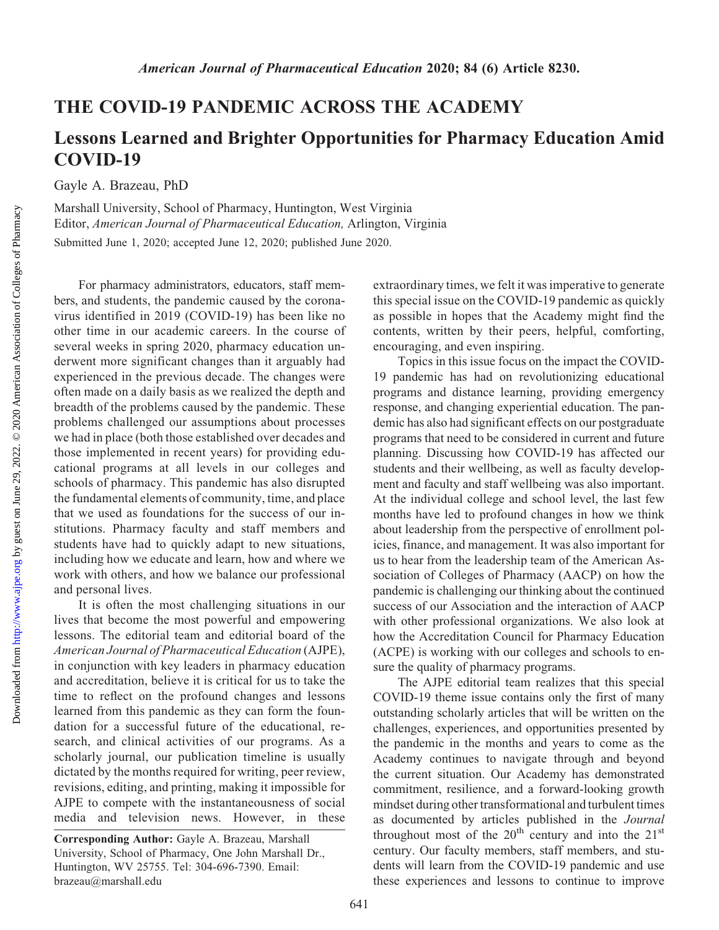Downloaded from

## THE COVID-19 PANDEMIC ACROSS THE ACADEMY

## Lessons Learned and Brighter Opportunities for Pharmacy Education Amid COVID-19

Gayle A. Brazeau, PhD

Marshall University, School of Pharmacy, Huntington, West Virginia Editor, American Journal of Pharmaceutical Education, Arlington, Virginia

Submitted June 1, 2020; accepted June 12, 2020; published June 2020.

For pharmacy administrators, educators, staff members, and students, the pandemic caused by the coronavirus identified in 2019 (COVID-19) has been like no other time in our academic careers. In the course of several weeks in spring 2020, pharmacy education underwent more significant changes than it arguably had experienced in the previous decade. The changes were often made on a daily basis as we realized the depth and breadth of the problems caused by the pandemic. These problems challenged our assumptions about processes we had in place (both those established over decades and those implemented in recent years) for providing educational programs at all levels in our colleges and schools of pharmacy. This pandemic has also disrupted the fundamental elements of community, time, and place that we used as foundations for the success of our institutions. Pharmacy faculty and staff members and students have had to quickly adapt to new situations, including how we educate and learn, how and where we work with others, and how we balance our professional and personal lives.

It is often the most challenging situations in our lives that become the most powerful and empowering lessons. The editorial team and editorial board of the American Journal of Pharmaceutical Education (AJPE), in conjunction with key leaders in pharmacy education and accreditation, believe it is critical for us to take the time to reflect on the profound changes and lessons learned from this pandemic as they can form the foundation for a successful future of the educational, research, and clinical activities of our programs. As a scholarly journal, our publication timeline is usually dictated by the months required for writing, peer review, revisions, editing, and printing, making it impossible for AJPE to compete with the instantaneousness of social media and television news. However, in these

extraordinary times, we felt it was imperative to generate this special issue on the COVID-19 pandemic as quickly as possible in hopes that the Academy might find the contents, written by their peers, helpful, comforting, encouraging, and even inspiring.

Topics in this issue focus on the impact the COVID-19 pandemic has had on revolutionizing educational programs and distance learning, providing emergency response, and changing experiential education. The pandemic has also had significant effects on our postgraduate programs that need to be considered in current and future planning. Discussing how COVID-19 has affected our students and their wellbeing, as well as faculty development and faculty and staff wellbeing was also important. At the individual college and school level, the last few months have led to profound changes in how we think about leadership from the perspective of enrollment policies, finance, and management. It was also important for us to hear from the leadership team of the American Association of Colleges of Pharmacy (AACP) on how the pandemic is challenging our thinking about the continued success of our Association and the interaction of AACP with other professional organizations. We also look at how the Accreditation Council for Pharmacy Education (ACPE) is working with our colleges and schools to ensure the quality of pharmacy programs.

The AJPE editorial team realizes that this special COVID-19 theme issue contains only the first of many outstanding scholarly articles that will be written on the challenges, experiences, and opportunities presented by the pandemic in the months and years to come as the Academy continues to navigate through and beyond the current situation. Our Academy has demonstrated commitment, resilience, and a forward-looking growth mindset during other transformational and turbulent times as documented by articles published in the Journal throughout most of the  $20^{th}$  century and into the  $21^{st}$ century. Our faculty members, staff members, and students will learn from the COVID-19 pandemic and use these experiences and lessons to continue to improve

Corresponding Author: Gayle A. Brazeau, Marshall University, School of Pharmacy, One John Marshall Dr., Huntington, WV 25755. Tel: 304-696-7390. Email: [brazeau@marshall.edu](mailto:brazeau@marshall.edu)